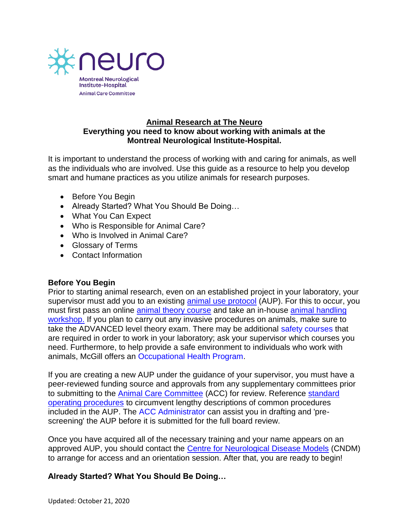

#### **Animal Research at The Neuro Everything you need to know about working with animals at the Montreal Neurological Institute-Hospital.**

It is important to understand the process of working with and caring for animals, as well as the individuals who are involved. Use this guide as a resource to help you develop smart and humane practices as you utilize animals for research purposes.

- Before You Begin
- Already Started? What You Should Be Doing...
- What You Can Expect
- Who is Responsible for Animal Care?
- Who is Involved in Animal Care?
- Glossary of Terms
- Contact Information

## **Before You Begin**

Prior to starting animal research, even on an established project in your laboratory, your supervisor must add you to an existing [animal use protocol](https://www.mcgill.ca/research/research/compliance/animals/ams-software) (AUP). For this to occur, you must first pass an online [animal theory course](http://www.mcgill.ca/research/researchers/compliance/animal/training/theorycourse) and take an in-house animal handling [workshop.](http://www.mcgill.ca/research/researchers/compliance/animal/training/theorycourse) If you plan to carry out any invasive procedures on animals, make sure to take the ADVANCED level theory exam. There may be additional [safety courses](http://www.mcgill.ca/ehs/training/) that are required in order to work in your laboratory; ask your supervisor which courses you need. Furthermore, to help provide a safe environment to individuals who work with animals, McGill offers an [Occupational Health Program.](https://www.mcgill.ca/research/research/compliance/animals/training/basiclevel/occupational-health)

If you are creating a new AUP under the guidance of your supervisor, you must have a peer-reviewed funding source and approvals from any supplementary committees prior to submitting to the [Animal Care Committee](http://acc.neuro.mcgill.ca/index.php) (ACC) for review. Reference [standard](https://mcgill.ca/research/research/compliance/animals/animal-research-practices/sop)  [operating procedures](https://mcgill.ca/research/research/compliance/animals/animal-research-practices/sop) to circumvent lengthy descriptions of common procedures included in the AUP. The [ACC Administrator](mailto:acc.mni@mcgill.ca) can assist you in drafting and 'prescreening' the AUP before it is submitted for the full board review.

Once you have acquired all of the necessary training and your name appears on an approved AUP, you should contact the [Centre for Neurological Disease Models](http://neurocndm.mcgill.ca/) (CNDM) to arrange for access and an orientation session. After that, you are ready to begin!

## **Already Started? What You Should Be Doing…**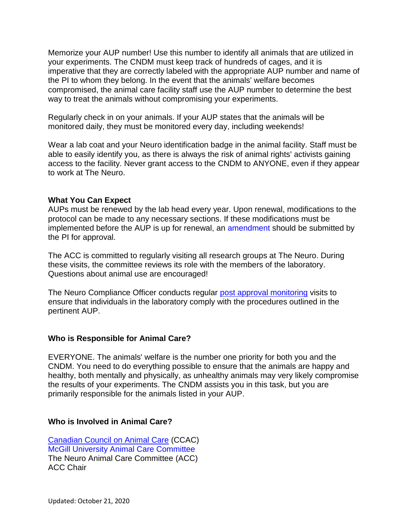Memorize your AUP number! Use this number to identify all animals that are utilized in your experiments. The CNDM must keep track of hundreds of cages, and it is imperative that they are correctly labeled with the appropriate AUP number and name of the PI to whom they belong. In the event that the animals' welfare becomes compromised, the animal care facility staff use the AUP number to determine the best way to treat the animals without compromising your experiments.

Regularly check in on your animals. If your AUP states that the animals will be monitored daily, they must be monitored every day, including weekends!

Wear a lab coat and your Neuro identification badge in the animal facility. Staff must be able to easily identify you, as there is always the risk of animal rights' activists gaining access to the facility. Never grant access to the CNDM to ANYONE, even if they appear to work at The Neuro.

#### **What You Can Expect**

AUPs must be renewed by the lab head every year. Upon renewal, modifications to the protocol can be made to any necessary sections. If these modifications must be implemented before the AUP is up for renewal, an [amendment](https://www.mcgill.ca/research/research/compliance/animals/ams-software) should be submitted by the PI for approval.

The ACC is committed to regularly visiting all research groups at The Neuro. During these visits, the committee reviews its role with the members of the laboratory. Questions about animal use are encouraged!

The Neuro Compliance Officer conducts regular [post approval monitoring](http://www.mcgill.ca/neuro/files/neuro/pamflowchart.jpg) visits to ensure that individuals in the laboratory comply with the procedures outlined in the pertinent AUP.

## **Who is Responsible for Animal Care?**

EVERYONE. The animals' welfare is the number one priority for both you and the CNDM. You need to do everything possible to ensure that the animals are happy and healthy, both mentally and physically, as unhealthy animals may very likely compromise the results of your experiments. The CNDM assists you in this task, but you are primarily responsible for the animals listed in your AUP.

## **Who is Involved in Animal Care?**

[Canadian Council on Animal Care](http://www.ccac.ca/) (CCAC) [McGill University Animal Care Committee](http://www.mcgill.ca/research/researchers/compliance/animal/) The Neuro Animal Care Committee (ACC) ACC Chair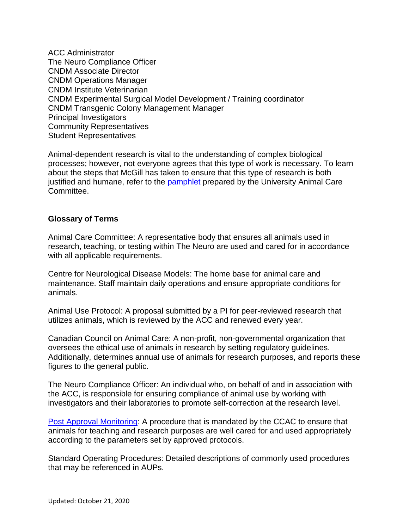ACC Administrator The Neuro Compliance Officer CNDM Associate Director CNDM Operations Manager CNDM Institute Veterinarian CNDM Experimental Surgical Model Development / Training coordinator CNDM Transgenic Colony Management Manager Principal Investigators Community Representatives Student Representatives

Animal-dependent research is vital to the understanding of complex biological processes; however, not everyone agrees that this type of work is necessary. To learn about the steps that McGill has taken to ensure that this type of research is both justified and humane, refer to the [pamphlet](http://www.mcgill.ca/research/files/research/animal_research_pamphlet_-_english.pdf) prepared by the University Animal Care Committee.

## **Glossary of Terms**

Animal Care Committee: A representative body that ensures all animals used in research, teaching, or testing within The Neuro are used and cared for in accordance with all applicable requirements.

Centre for Neurological Disease Models: The home base for animal care and maintenance. Staff maintain daily operations and ensure appropriate conditions for animals.

Animal Use Protocol: A proposal submitted by a PI for peer-reviewed research that utilizes animals, which is reviewed by the ACC and renewed every year.

Canadian Council on Animal Care: A non-profit, non-governmental organization that oversees the ethical use of animals in research by setting regulatory guidelines. Additionally, determines annual use of animals for research purposes, and reports these figures to the general public.

The Neuro Compliance Officer: An individual who, on behalf of and in association with the ACC, is responsible for ensuring compliance of animal use by working with investigators and their laboratories to promote self-correction at the research level.

[Post Approval Monitoring:](http://www.mcgill.ca/neuro/files/neuro/pamflowchart.jpg) A procedure that is mandated by the CCAC to ensure that animals for teaching and research purposes are well cared for and used appropriately according to the parameters set by approved protocols.

Standard Operating Procedures: Detailed descriptions of commonly used procedures that may be referenced in AUPs.